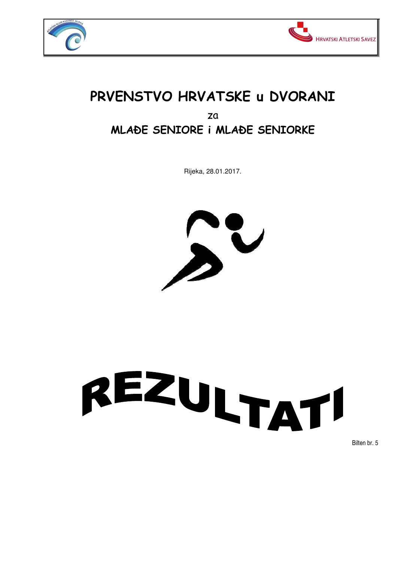



## **PRVENSTVO HRVATSKE u DVORANI**  za **MLAðE SENIORE i MLAðE SENIORKE**

Rijeka, 28.01.2017.



## REZULTATI

Bilten br. 5